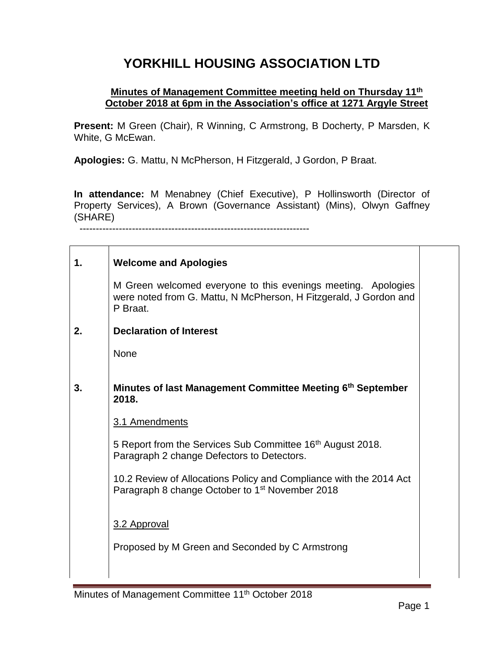## **YORKHILL HOUSING ASSOCIATION LTD**

## **Minutes of Management Committee meeting held on Thursday 11th October 2018 at 6pm in the Association's office at 1271 Argyle Street**

**Present:** M Green (Chair), R Winning, C Armstrong, B Docherty, P Marsden, K White, G McEwan.

**Apologies:** G. Mattu, N McPherson, H Fitzgerald, J Gordon, P Braat.

**In attendance:** M Menabney (Chief Executive), P Hollinsworth (Director of Property Services), A Brown (Governance Assistant) (Mins), Olwyn Gaffney (SHARE) ----------------------------------------------------------------------

| 1. | <b>Welcome and Apologies</b>                                                                                                                   |  |
|----|------------------------------------------------------------------------------------------------------------------------------------------------|--|
|    | M Green welcomed everyone to this evenings meeting. Apologies<br>were noted from G. Mattu, N McPherson, H Fitzgerald, J Gordon and<br>P Braat. |  |
| 2. | <b>Declaration of Interest</b>                                                                                                                 |  |
|    | None                                                                                                                                           |  |
| 3. | Minutes of last Management Committee Meeting 6th September<br>2018.                                                                            |  |
|    | 3.1 Amendments                                                                                                                                 |  |
|    | 5 Report from the Services Sub Committee 16 <sup>th</sup> August 2018.<br>Paragraph 2 change Defectors to Detectors.                           |  |
|    | 10.2 Review of Allocations Policy and Compliance with the 2014 Act<br>Paragraph 8 change October to 1 <sup>st</sup> November 2018              |  |
|    | 3.2 Approval                                                                                                                                   |  |
|    | Proposed by M Green and Seconded by C Armstrong                                                                                                |  |
|    |                                                                                                                                                |  |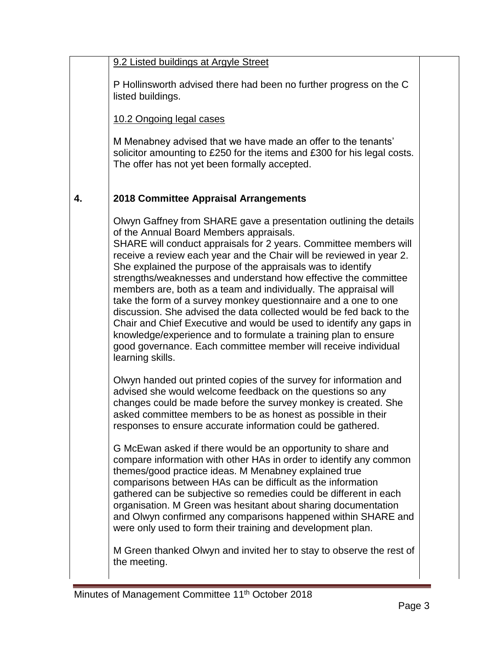| 9.2 Listed buildings at Argyle Street |  |  |
|---------------------------------------|--|--|
|                                       |  |  |

P Hollinsworth advised there had been no further progress on the C listed buildings.

10.2 Ongoing legal cases

M Menabney advised that we have made an offer to the tenants' solicitor amounting to £250 for the items and £300 for his legal costs. The offer has not yet been formally accepted.

## **4. 2018 Committee Appraisal Arrangements**

Olwyn Gaffney from SHARE gave a presentation outlining the details of the Annual Board Members appraisals.

SHARE will conduct appraisals for 2 years. Committee members will receive a review each year and the Chair will be reviewed in year 2. She explained the purpose of the appraisals was to identify strengths/weaknesses and understand how effective the committee members are, both as a team and individually. The appraisal will take the form of a survey monkey questionnaire and a one to one discussion. She advised the data collected would be fed back to the Chair and Chief Executive and would be used to identify any gaps in knowledge/experience and to formulate a training plan to ensure good governance. Each committee member will receive individual learning skills.

Olwyn handed out printed copies of the survey for information and advised she would welcome feedback on the questions so any changes could be made before the survey monkey is created. She asked committee members to be as honest as possible in their responses to ensure accurate information could be gathered.

G McEwan asked if there would be an opportunity to share and compare information with other HAs in order to identify any common themes/good practice ideas. M Menabney explained true comparisons between HAs can be difficult as the information gathered can be subjective so remedies could be different in each organisation. M Green was hesitant about sharing documentation and Olwyn confirmed any comparisons happened within SHARE and were only used to form their training and development plan.

M Green thanked Olwyn and invited her to stay to observe the rest of the meeting.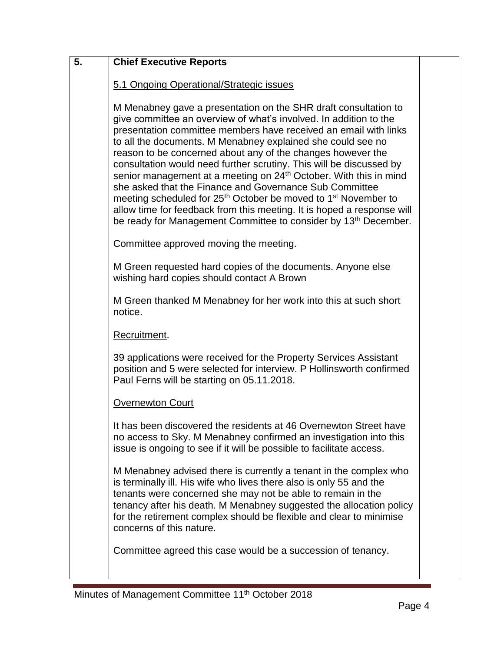| 5. | <b>Chief Executive Reports</b>                                                                                                                                                                                                                                                                                                                                                                                                                                                                                                                                                                                                                                                                                                                                                                               |  |
|----|--------------------------------------------------------------------------------------------------------------------------------------------------------------------------------------------------------------------------------------------------------------------------------------------------------------------------------------------------------------------------------------------------------------------------------------------------------------------------------------------------------------------------------------------------------------------------------------------------------------------------------------------------------------------------------------------------------------------------------------------------------------------------------------------------------------|--|
|    | 5.1 Ongoing Operational/Strategic issues                                                                                                                                                                                                                                                                                                                                                                                                                                                                                                                                                                                                                                                                                                                                                                     |  |
|    | M Menabney gave a presentation on the SHR draft consultation to<br>give committee an overview of what's involved. In addition to the<br>presentation committee members have received an email with links<br>to all the documents. M Menabney explained she could see no<br>reason to be concerned about any of the changes however the<br>consultation would need further scrutiny. This will be discussed by<br>senior management at a meeting on 24 <sup>th</sup> October. With this in mind<br>she asked that the Finance and Governance Sub Committee<br>meeting scheduled for 25 <sup>th</sup> October be moved to 1 <sup>st</sup> November to<br>allow time for feedback from this meeting. It is hoped a response will<br>be ready for Management Committee to consider by 13 <sup>th</sup> December. |  |
|    | Committee approved moving the meeting.                                                                                                                                                                                                                                                                                                                                                                                                                                                                                                                                                                                                                                                                                                                                                                       |  |
|    | M Green requested hard copies of the documents. Anyone else<br>wishing hard copies should contact A Brown                                                                                                                                                                                                                                                                                                                                                                                                                                                                                                                                                                                                                                                                                                    |  |
|    | M Green thanked M Menabney for her work into this at such short<br>notice.                                                                                                                                                                                                                                                                                                                                                                                                                                                                                                                                                                                                                                                                                                                                   |  |
|    | Recruitment.                                                                                                                                                                                                                                                                                                                                                                                                                                                                                                                                                                                                                                                                                                                                                                                                 |  |
|    | 39 applications were received for the Property Services Assistant<br>position and 5 were selected for interview. P Hollinsworth confirmed<br>Paul Ferns will be starting on 05.11.2018.                                                                                                                                                                                                                                                                                                                                                                                                                                                                                                                                                                                                                      |  |
|    | <b>Overnewton Court</b>                                                                                                                                                                                                                                                                                                                                                                                                                                                                                                                                                                                                                                                                                                                                                                                      |  |
|    | It has been discovered the residents at 46 Overnewton Street have<br>no access to Sky. M Menabney confirmed an investigation into this<br>issue is ongoing to see if it will be possible to facilitate access.                                                                                                                                                                                                                                                                                                                                                                                                                                                                                                                                                                                               |  |
|    | M Menabney advised there is currently a tenant in the complex who<br>is terminally ill. His wife who lives there also is only 55 and the<br>tenants were concerned she may not be able to remain in the<br>tenancy after his death. M Menabney suggested the allocation policy<br>for the retirement complex should be flexible and clear to minimise<br>concerns of this nature.                                                                                                                                                                                                                                                                                                                                                                                                                            |  |
|    | Committee agreed this case would be a succession of tenancy.                                                                                                                                                                                                                                                                                                                                                                                                                                                                                                                                                                                                                                                                                                                                                 |  |
|    |                                                                                                                                                                                                                                                                                                                                                                                                                                                                                                                                                                                                                                                                                                                                                                                                              |  |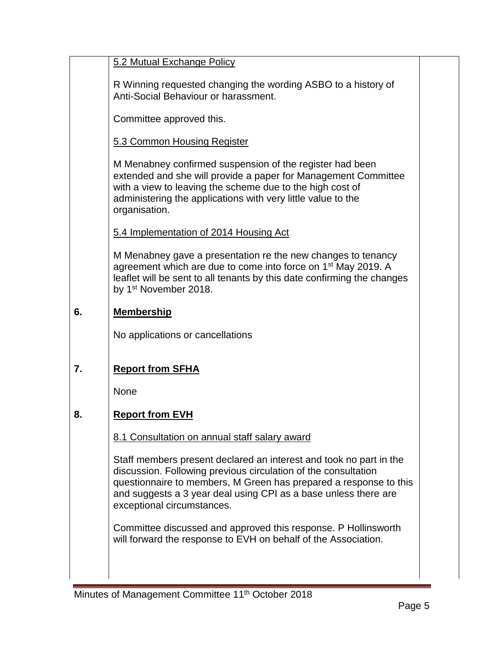|    | 5.2 Mutual Exchange Policy                                                                                                                                                                                                                                                                                 |  |
|----|------------------------------------------------------------------------------------------------------------------------------------------------------------------------------------------------------------------------------------------------------------------------------------------------------------|--|
|    | R Winning requested changing the wording ASBO to a history of<br>Anti-Social Behaviour or harassment.                                                                                                                                                                                                      |  |
|    | Committee approved this.                                                                                                                                                                                                                                                                                   |  |
|    | 5.3 Common Housing Register                                                                                                                                                                                                                                                                                |  |
|    | M Menabney confirmed suspension of the register had been<br>extended and she will provide a paper for Management Committee<br>with a view to leaving the scheme due to the high cost of<br>administering the applications with very little value to the<br>organisation.                                   |  |
|    | 5.4 Implementation of 2014 Housing Act                                                                                                                                                                                                                                                                     |  |
|    | M Menabney gave a presentation re the new changes to tenancy<br>agreement which are due to come into force on 1 <sup>st</sup> May 2019. A<br>leaflet will be sent to all tenants by this date confirming the changes<br>by 1 <sup>st</sup> November 2018.                                                  |  |
| 6. | <b>Membership</b>                                                                                                                                                                                                                                                                                          |  |
|    | No applications or cancellations                                                                                                                                                                                                                                                                           |  |
| 7. | <b>Report from SFHA</b>                                                                                                                                                                                                                                                                                    |  |
|    | <b>None</b>                                                                                                                                                                                                                                                                                                |  |
| 8. | <b>Report from EVH</b>                                                                                                                                                                                                                                                                                     |  |
|    | 8.1 Consultation on annual staff salary award                                                                                                                                                                                                                                                              |  |
|    | Staff members present declared an interest and took no part in the<br>discussion. Following previous circulation of the consultation<br>questionnaire to members, M Green has prepared a response to this<br>and suggests a 3 year deal using CPI as a base unless there are<br>exceptional circumstances. |  |
|    | Committee discussed and approved this response. P Hollinsworth<br>will forward the response to EVH on behalf of the Association.                                                                                                                                                                           |  |
|    |                                                                                                                                                                                                                                                                                                            |  |

÷.